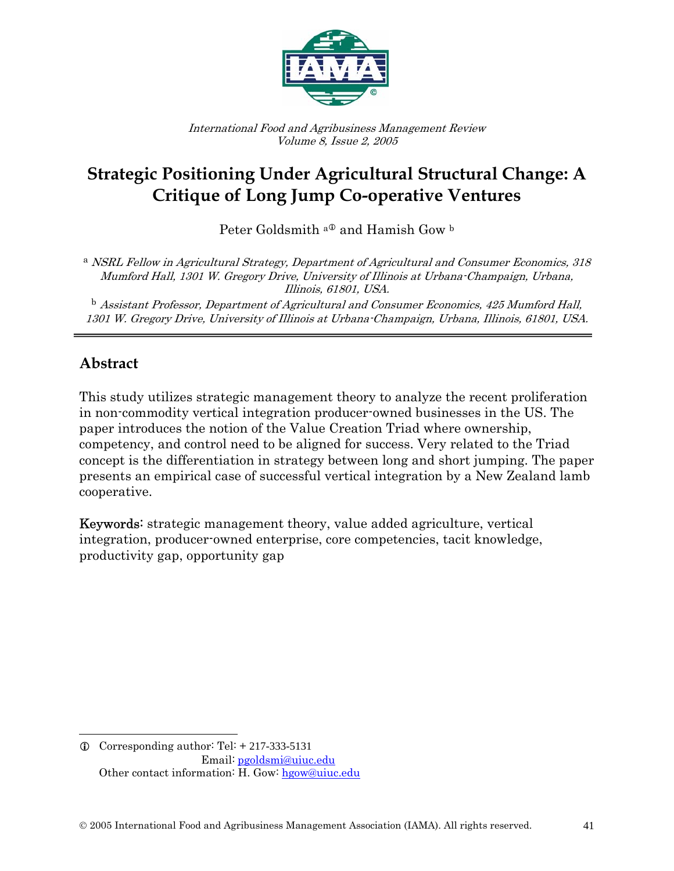

International Food and Agribusiness Management Review Volume 8, Issue 2, 2005

# **Strategic Positioning Under Agricultural Structural Change: A Critique of Long Jump Co-operative Ventures**

Peter Goldsmith  $a^{\text{D}}$  and Hamish Gow b

<sup>a</sup> NSRL Fellow in Agricultural Strategy, Department of Agricultural and Consumer Economics, 318 Mumford Hall, 1301 W. Gregory Drive, University of Illinois at Urbana-Champaign, Urbana, Illinois, 61801, USA.

 $^{\rm b}$  Assistant Professor, Department of Agricultural and Consumer Economics, 425 Mumford Hall, 1301 W. Gregory Drive, University of Illinois at Urbana-Champaign, Urbana, Illinois, 61801, USA.

### **Abstract**

 $\overline{a}$ 

This study utilizes strategic management theory to analyze the recent proliferation in non-commodity vertical integration producer-owned businesses in the US. The paper introduces the notion of the Value Creation Triad where ownership, competency, and control need to be aligned for success. Very related to the Triad concept is the differentiation in strategy between long and short jumping. The paper presents an empirical case of successful vertical integration by a New Zealand lamb cooperative.

Keywords: strategic management theory, value added agriculture, vertical integration, producer-owned enterprise, core competencies, tacit knowledge, productivity gap, opportunity gap

 $Q$  Corresponding author: Tel:  $+ 217-333-5131$  Email: pgoldsmi@uiuc.edu Other contact information: H. Gow: hgow@uiuc.edu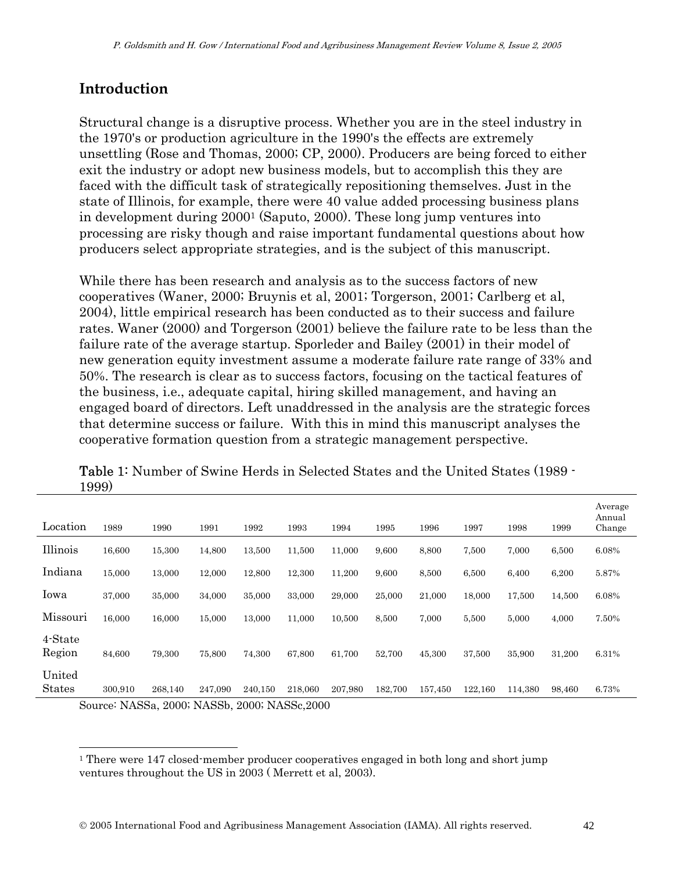## **Introduction**

Structural change is a disruptive process. Whether you are in the steel industry in the 1970's or production agriculture in the 1990's the effects are extremely unsettling (Rose and Thomas, 2000; CP, 2000). Producers are being forced to either exit the industry or adopt new business models, but to accomplish this they are faced with the difficult task of strategically repositioning themselves. Just in the state of Illinois, for example, there were 40 value added processing business plans in development during 20001 (Saputo, 2000). These long jump ventures into processing are risky though and raise important fundamental questions about how producers select appropriate strategies, and is the subject of this manuscript.

While there has been research and analysis as to the success factors of new cooperatives (Waner, 2000; Bruynis et al, 2001; Torgerson, 2001; Carlberg et al, 2004), little empirical research has been conducted as to their success and failure rates. Waner (2000) and Torgerson (2001) believe the failure rate to be less than the failure rate of the average startup. Sporleder and Bailey (2001) in their model of new generation equity investment assume a moderate failure rate range of 33% and 50%. The research is clear as to success factors, focusing on the tactical features of the business, i.e., adequate capital, hiring skilled management, and having an engaged board of directors. Left unaddressed in the analysis are the strategic forces that determine success or failure. With this in mind this manuscript analyses the cooperative formation question from a strategic management perspective.

| Location                | 1989                                                                             | 1990    | 1991    | 1992                                        | 1993    | 1994    | 1995    | 1996    | 1997    | 1998    | 1999   | Average<br>Annual<br>Change |
|-------------------------|----------------------------------------------------------------------------------|---------|---------|---------------------------------------------|---------|---------|---------|---------|---------|---------|--------|-----------------------------|
| Illinois                | 16,600                                                                           | 15,300  | 14,800  | 13,500                                      | 11,500  | 11,000  | 9,600   | 8,800   | 7,500   | 7,000   | 6,500  | 6.08%                       |
| Indiana                 | 15,000                                                                           | 13,000  | 12,000  | 12,800                                      | 12,300  | 11,200  | 9,600   | 8,500   | 6,500   | 6,400   | 6,200  | 5.87%                       |
| Iowa                    | 37,000                                                                           | 35,000  | 34,000  | 35,000                                      | 33,000  | 29,000  | 25,000  | 21,000  | 18,000  | 17,500  | 14,500 | 6.08%                       |
| Missouri                | 16,000                                                                           | 16,000  | 15,000  | 13,000                                      | 11,000  | 10,500  | 8,500   | 7,000   | 5.500   | 5,000   | 4,000  | 7.50%                       |
| 4-State<br>Region       | 84,600                                                                           | 79,300  | 75,800  | 74,300                                      | 67,800  | 61,700  | 52,700  | 45,300  | 37,500  | 35,900  | 31,200 | 6.31%                       |
| United<br><b>States</b> | 300.910<br>$C_{\text{oumon}}$ $MAGC_{\text{a}}$ $Q_{\text{A}}$ $MAGC_{\text{b}}$ | 268.140 | 247,090 | 240,150<br>$0.000 \cdot M \wedge C$ $0.000$ | 218,060 | 207,980 | 182,700 | 157,450 | 122,160 | 114,380 | 98,460 | 6.73%                       |

Table 1: Number of Swine Herds in Selected States and the United States (1989 - 1999)

Source: NASSa, 2000; NASSb, 2000; NASSc,2000

 $\overline{a}$ 

<sup>&</sup>lt;sup>1</sup> There were 147 closed-member producer cooperatives engaged in both long and short jump ventures throughout the US in 2003 ( Merrett et al, 2003).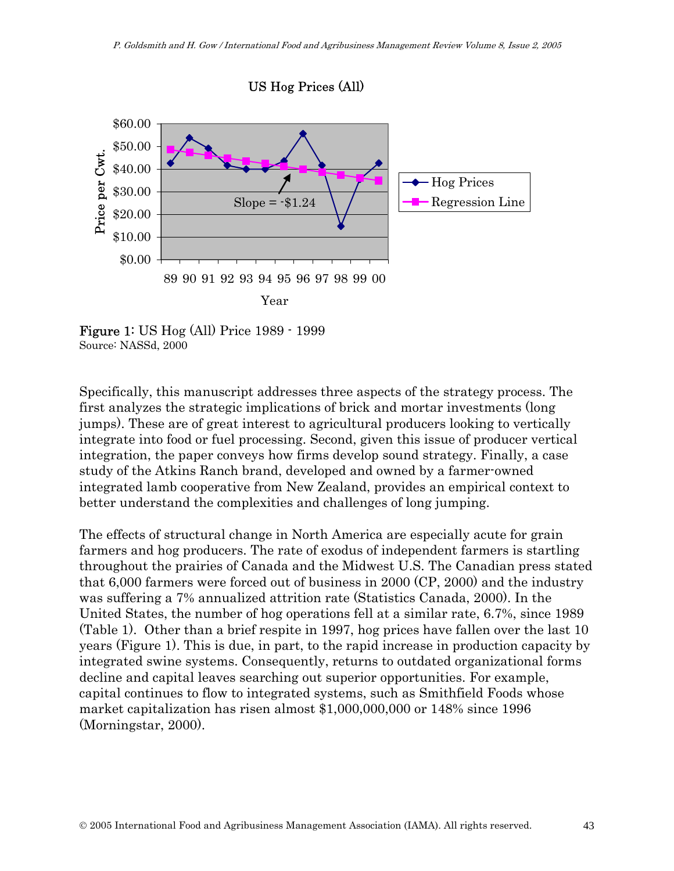

Figure 1: US Hog (All) Price 1989 - 1999 Source: NASSd, 2000

Specifically, this manuscript addresses three aspects of the strategy process. The first analyzes the strategic implications of brick and mortar investments (long jumps). These are of great interest to agricultural producers looking to vertically integrate into food or fuel processing. Second, given this issue of producer vertical integration, the paper conveys how firms develop sound strategy. Finally, a case study of the Atkins Ranch brand, developed and owned by a farmer-owned integrated lamb cooperative from New Zealand, provides an empirical context to better understand the complexities and challenges of long jumping.

The effects of structural change in North America are especially acute for grain farmers and hog producers. The rate of exodus of independent farmers is startling throughout the prairies of Canada and the Midwest U.S. The Canadian press stated that 6,000 farmers were forced out of business in 2000 (CP, 2000) and the industry was suffering a 7% annualized attrition rate (Statistics Canada, 2000). In the United States, the number of hog operations fell at a similar rate, 6.7%, since 1989 (Table 1). Other than a brief respite in 1997, hog prices have fallen over the last 10 years (Figure 1). This is due, in part, to the rapid increase in production capacity by integrated swine systems. Consequently, returns to outdated organizational forms decline and capital leaves searching out superior opportunities. For example, capital continues to flow to integrated systems, such as Smithfield Foods whose market capitalization has risen almost \$1,000,000,000 or 148% since 1996 (Morningstar, 2000).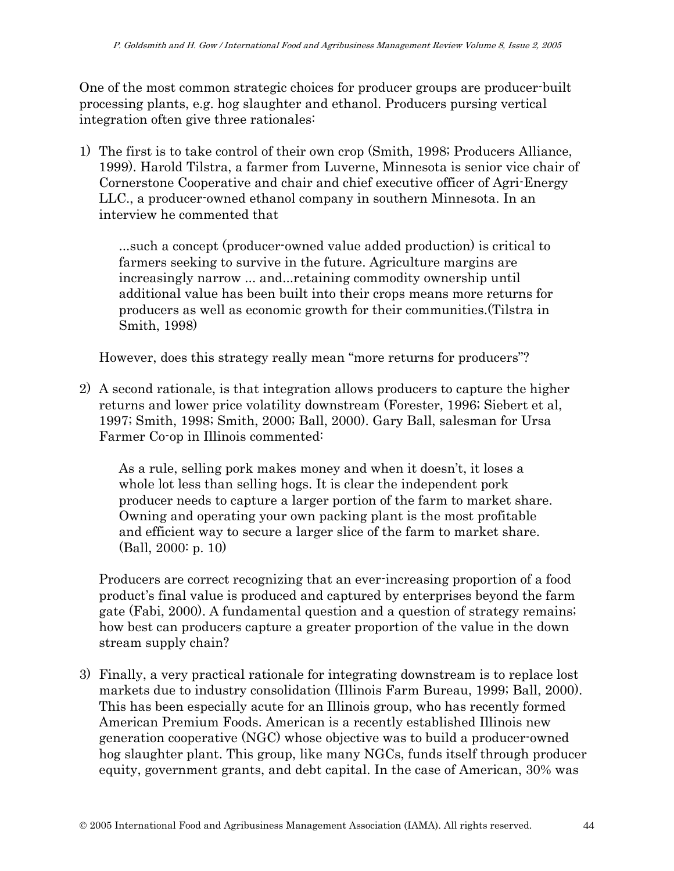One of the most common strategic choices for producer groups are producer-built processing plants, e.g. hog slaughter and ethanol. Producers pursing vertical integration often give three rationales:

1) The first is to take control of their own crop (Smith, 1998; Producers Alliance, 1999). Harold Tilstra, a farmer from Luverne, Minnesota is senior vice chair of Cornerstone Cooperative and chair and chief executive officer of Agri-Energy LLC., a producer-owned ethanol company in southern Minnesota. In an interview he commented that

...such a concept (producer-owned value added production) is critical to farmers seeking to survive in the future. Agriculture margins are increasingly narrow ... and...retaining commodity ownership until additional value has been built into their crops means more returns for producers as well as economic growth for their communities.(Tilstra in Smith, 1998)

However, does this strategy really mean "more returns for producers"?

2) A second rationale, is that integration allows producers to capture the higher returns and lower price volatility downstream (Forester, 1996; Siebert et al, 1997; Smith, 1998; Smith, 2000; Ball, 2000). Gary Ball, salesman for Ursa Farmer Co-op in Illinois commented:

As a rule, selling pork makes money and when it doesn't, it loses a whole lot less than selling hogs. It is clear the independent pork producer needs to capture a larger portion of the farm to market share. Owning and operating your own packing plant is the most profitable and efficient way to secure a larger slice of the farm to market share. (Ball, 2000: p. 10)

Producers are correct recognizing that an ever-increasing proportion of a food product's final value is produced and captured by enterprises beyond the farm gate (Fabi, 2000). A fundamental question and a question of strategy remains; how best can producers capture a greater proportion of the value in the down stream supply chain?

3) Finally, a very practical rationale for integrating downstream is to replace lost markets due to industry consolidation (Illinois Farm Bureau, 1999; Ball, 2000). This has been especially acute for an Illinois group, who has recently formed American Premium Foods. American is a recently established Illinois new generation cooperative (NGC) whose objective was to build a producer-owned hog slaughter plant. This group, like many NGCs, funds itself through producer equity, government grants, and debt capital. In the case of American, 30% was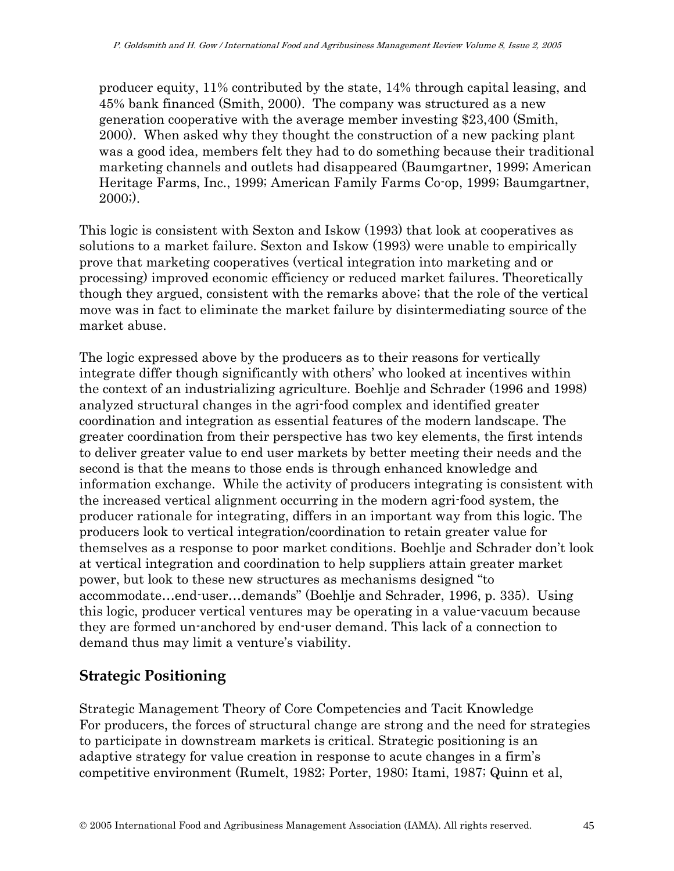producer equity, 11% contributed by the state, 14% through capital leasing, and 45% bank financed (Smith, 2000). The company was structured as a new generation cooperative with the average member investing \$23,400 (Smith, 2000). When asked why they thought the construction of a new packing plant was a good idea, members felt they had to do something because their traditional marketing channels and outlets had disappeared (Baumgartner, 1999; American Heritage Farms, Inc., 1999; American Family Farms Co-op, 1999; Baumgartner, 2000;).

This logic is consistent with Sexton and Iskow (1993) that look at cooperatives as solutions to a market failure. Sexton and Iskow (1993) were unable to empirically prove that marketing cooperatives (vertical integration into marketing and or processing) improved economic efficiency or reduced market failures. Theoretically though they argued, consistent with the remarks above; that the role of the vertical move was in fact to eliminate the market failure by disintermediating source of the market abuse.

The logic expressed above by the producers as to their reasons for vertically integrate differ though significantly with others' who looked at incentives within the context of an industrializing agriculture. Boehlje and Schrader (1996 and 1998) analyzed structural changes in the agri-food complex and identified greater coordination and integration as essential features of the modern landscape. The greater coordination from their perspective has two key elements, the first intends to deliver greater value to end user markets by better meeting their needs and the second is that the means to those ends is through enhanced knowledge and information exchange. While the activity of producers integrating is consistent with the increased vertical alignment occurring in the modern agri-food system, the producer rationale for integrating, differs in an important way from this logic. The producers look to vertical integration/coordination to retain greater value for themselves as a response to poor market conditions. Boehlje and Schrader don't look at vertical integration and coordination to help suppliers attain greater market power, but look to these new structures as mechanisms designed "to accommodate…end-user…demands" (Boehlje and Schrader, 1996, p. 335). Using this logic, producer vertical ventures may be operating in a value-vacuum because they are formed un-anchored by end-user demand. This lack of a connection to demand thus may limit a venture's viability.

### **Strategic Positioning**

Strategic Management Theory of Core Competencies and Tacit Knowledge For producers, the forces of structural change are strong and the need for strategies to participate in downstream markets is critical. Strategic positioning is an adaptive strategy for value creation in response to acute changes in a firm's competitive environment (Rumelt, 1982; Porter, 1980; Itami, 1987; Quinn et al,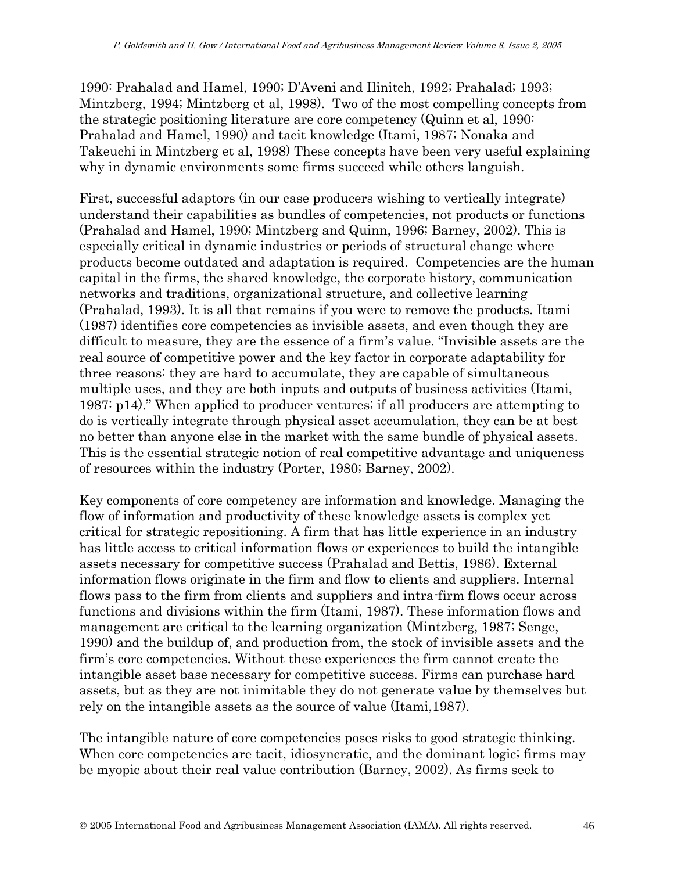1990: Prahalad and Hamel, 1990; D'Aveni and Ilinitch, 1992; Prahalad; 1993; Mintzberg, 1994; Mintzberg et al, 1998). Two of the most compelling concepts from the strategic positioning literature are core competency (Quinn et al, 1990: Prahalad and Hamel, 1990) and tacit knowledge (Itami, 1987; Nonaka and Takeuchi in Mintzberg et al, 1998) These concepts have been very useful explaining why in dynamic environments some firms succeed while others languish.

First, successful adaptors (in our case producers wishing to vertically integrate) understand their capabilities as bundles of competencies, not products or functions (Prahalad and Hamel, 1990; Mintzberg and Quinn, 1996; Barney, 2002). This is especially critical in dynamic industries or periods of structural change where products become outdated and adaptation is required. Competencies are the human capital in the firms, the shared knowledge, the corporate history, communication networks and traditions, organizational structure, and collective learning (Prahalad, 1993). It is all that remains if you were to remove the products. Itami (1987) identifies core competencies as invisible assets, and even though they are difficult to measure, they are the essence of a firm's value. "Invisible assets are the real source of competitive power and the key factor in corporate adaptability for three reasons: they are hard to accumulate, they are capable of simultaneous multiple uses, and they are both inputs and outputs of business activities (Itami, 1987: p14)." When applied to producer ventures; if all producers are attempting to do is vertically integrate through physical asset accumulation, they can be at best no better than anyone else in the market with the same bundle of physical assets. This is the essential strategic notion of real competitive advantage and uniqueness of resources within the industry (Porter, 1980; Barney, 2002).

Key components of core competency are information and knowledge. Managing the flow of information and productivity of these knowledge assets is complex yet critical for strategic repositioning. A firm that has little experience in an industry has little access to critical information flows or experiences to build the intangible assets necessary for competitive success (Prahalad and Bettis, 1986). External information flows originate in the firm and flow to clients and suppliers. Internal flows pass to the firm from clients and suppliers and intra-firm flows occur across functions and divisions within the firm (Itami, 1987). These information flows and management are critical to the learning organization (Mintzberg, 1987; Senge, 1990) and the buildup of, and production from, the stock of invisible assets and the firm's core competencies. Without these experiences the firm cannot create the intangible asset base necessary for competitive success. Firms can purchase hard assets, but as they are not inimitable they do not generate value by themselves but rely on the intangible assets as the source of value (Itami,1987).

The intangible nature of core competencies poses risks to good strategic thinking. When core competencies are tacit, idiosyncratic, and the dominant logic; firms may be myopic about their real value contribution (Barney, 2002). As firms seek to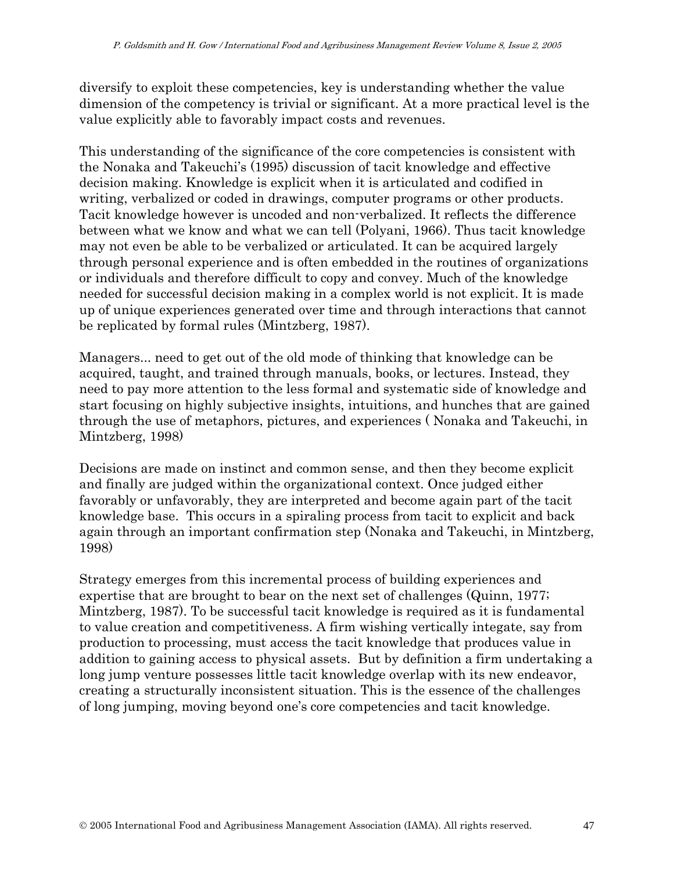diversify to exploit these competencies, key is understanding whether the value dimension of the competency is trivial or significant. At a more practical level is the value explicitly able to favorably impact costs and revenues.

This understanding of the significance of the core competencies is consistent with the Nonaka and Takeuchi's (1995) discussion of tacit knowledge and effective decision making. Knowledge is explicit when it is articulated and codified in writing, verbalized or coded in drawings, computer programs or other products. Tacit knowledge however is uncoded and non-verbalized. It reflects the difference between what we know and what we can tell (Polyani, 1966). Thus tacit knowledge may not even be able to be verbalized or articulated. It can be acquired largely through personal experience and is often embedded in the routines of organizations or individuals and therefore difficult to copy and convey. Much of the knowledge needed for successful decision making in a complex world is not explicit. It is made up of unique experiences generated over time and through interactions that cannot be replicated by formal rules (Mintzberg, 1987).

Managers... need to get out of the old mode of thinking that knowledge can be acquired, taught, and trained through manuals, books, or lectures. Instead, they need to pay more attention to the less formal and systematic side of knowledge and start focusing on highly subjective insights, intuitions, and hunches that are gained through the use of metaphors, pictures, and experiences ( Nonaka and Takeuchi, in Mintzberg, 1998)

Decisions are made on instinct and common sense, and then they become explicit and finally are judged within the organizational context. Once judged either favorably or unfavorably, they are interpreted and become again part of the tacit knowledge base. This occurs in a spiraling process from tacit to explicit and back again through an important confirmation step (Nonaka and Takeuchi, in Mintzberg, 1998)

Strategy emerges from this incremental process of building experiences and expertise that are brought to bear on the next set of challenges (Quinn, 1977; Mintzberg, 1987). To be successful tacit knowledge is required as it is fundamental to value creation and competitiveness. A firm wishing vertically integate, say from production to processing, must access the tacit knowledge that produces value in addition to gaining access to physical assets. But by definition a firm undertaking a long jump venture possesses little tacit knowledge overlap with its new endeavor, creating a structurally inconsistent situation. This is the essence of the challenges of long jumping, moving beyond one's core competencies and tacit knowledge.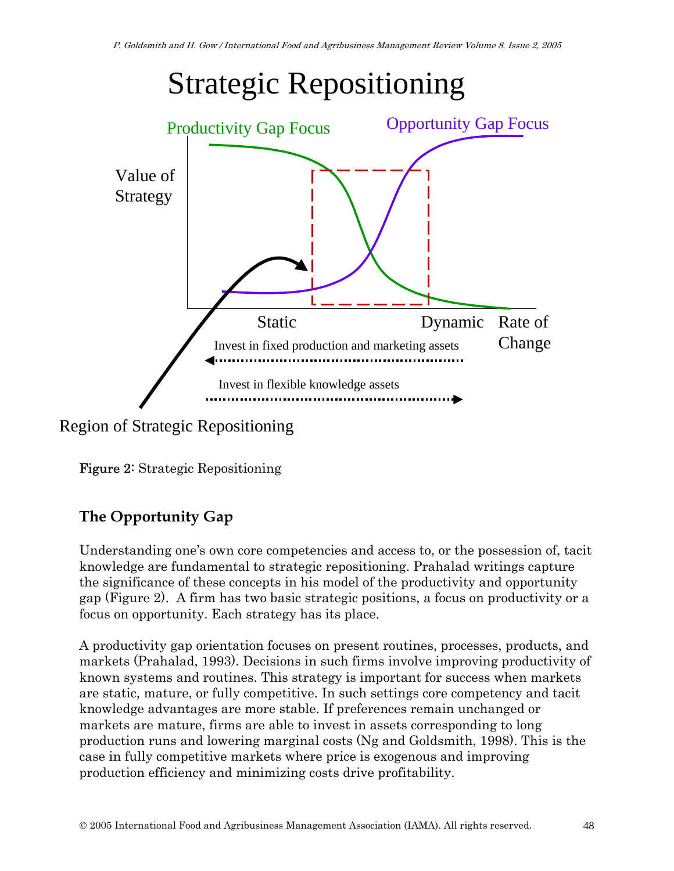

Region of Strategic Repositioning

Figure 2: Strategic Repositioning

# **The Opportunity Gap**

Understanding one's own core competencies and access to, or the possession of, tacit knowledge are fundamental to strategic repositioning. Prahalad writings capture the significance of these concepts in his model of the productivity and opportunity gap (Figure 2). A firm has two basic strategic positions, a focus on productivity or a focus on opportunity. Each strategy has its place.

A productivity gap orientation focuses on present routines, processes, products, and markets (Prahalad, 1993). Decisions in such firms involve improving productivity of known systems and routines. This strategy is important for success when markets are static, mature, or fully competitive. In such settings core competency and tacit knowledge advantages are more stable. If preferences remain unchanged or markets are mature, firms are able to invest in assets corresponding to long production runs and lowering marginal costs (Ng and Goldsmith, 1998). This is the case in fully competitive markets where price is exogenous and improving production efficiency and minimizing costs drive profitability.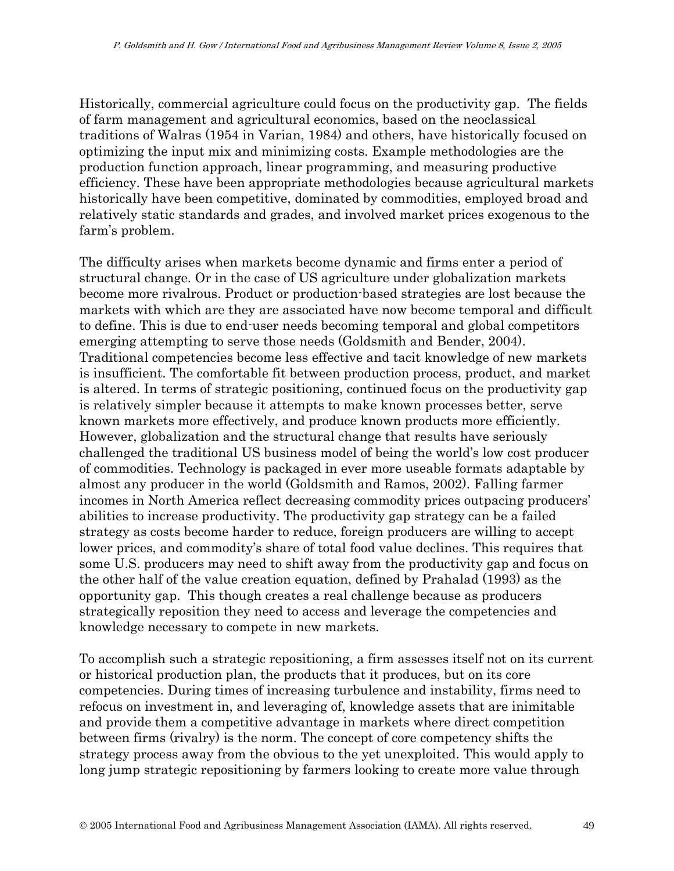Historically, commercial agriculture could focus on the productivity gap. The fields of farm management and agricultural economics, based on the neoclassical traditions of Walras (1954 in Varian, 1984) and others, have historically focused on optimizing the input mix and minimizing costs. Example methodologies are the production function approach, linear programming, and measuring productive efficiency. These have been appropriate methodologies because agricultural markets historically have been competitive, dominated by commodities, employed broad and relatively static standards and grades, and involved market prices exogenous to the farm's problem.

The difficulty arises when markets become dynamic and firms enter a period of structural change. Or in the case of US agriculture under globalization markets become more rivalrous. Product or production-based strategies are lost because the markets with which are they are associated have now become temporal and difficult to define. This is due to end-user needs becoming temporal and global competitors emerging attempting to serve those needs (Goldsmith and Bender, 2004). Traditional competencies become less effective and tacit knowledge of new markets is insufficient. The comfortable fit between production process, product, and market is altered. In terms of strategic positioning, continued focus on the productivity gap is relatively simpler because it attempts to make known processes better, serve known markets more effectively, and produce known products more efficiently. However, globalization and the structural change that results have seriously challenged the traditional US business model of being the world's low cost producer of commodities. Technology is packaged in ever more useable formats adaptable by almost any producer in the world (Goldsmith and Ramos, 2002). Falling farmer incomes in North America reflect decreasing commodity prices outpacing producers' abilities to increase productivity. The productivity gap strategy can be a failed strategy as costs become harder to reduce, foreign producers are willing to accept lower prices, and commodity's share of total food value declines. This requires that some U.S. producers may need to shift away from the productivity gap and focus on the other half of the value creation equation, defined by Prahalad (1993) as the opportunity gap. This though creates a real challenge because as producers strategically reposition they need to access and leverage the competencies and knowledge necessary to compete in new markets.

To accomplish such a strategic repositioning, a firm assesses itself not on its current or historical production plan, the products that it produces, but on its core competencies. During times of increasing turbulence and instability, firms need to refocus on investment in, and leveraging of, knowledge assets that are inimitable and provide them a competitive advantage in markets where direct competition between firms (rivalry) is the norm. The concept of core competency shifts the strategy process away from the obvious to the yet unexploited. This would apply to long jump strategic repositioning by farmers looking to create more value through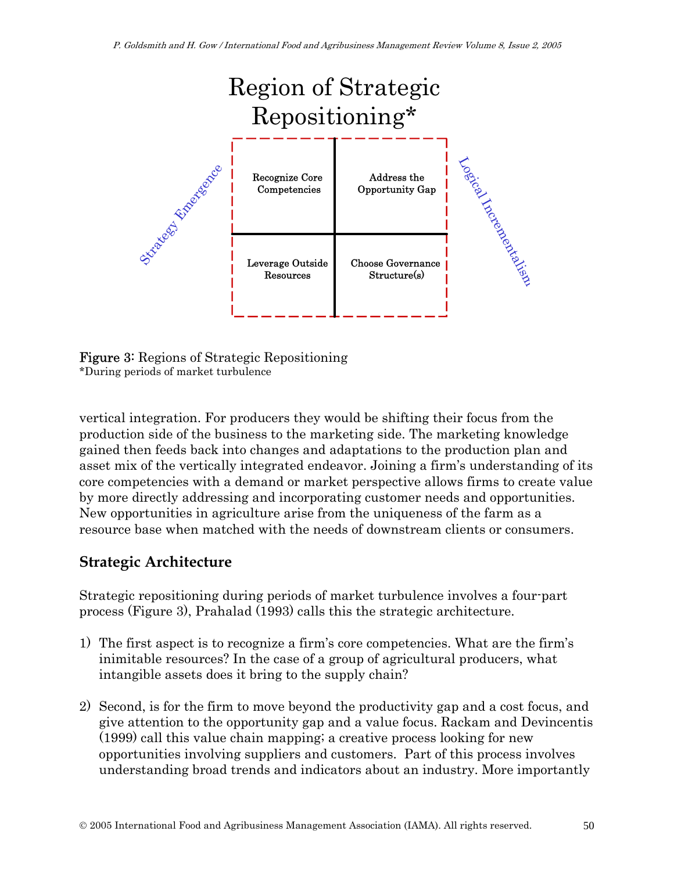

Figure 3: Regions of Strategic Repositioning \*During periods of market turbulence

vertical integration. For producers they would be shifting their focus from the production side of the business to the marketing side. The marketing knowledge gained then feeds back into changes and adaptations to the production plan and asset mix of the vertically integrated endeavor. Joining a firm's understanding of its core competencies with a demand or market perspective allows firms to create value by more directly addressing and incorporating customer needs and opportunities. New opportunities in agriculture arise from the uniqueness of the farm as a resource base when matched with the needs of downstream clients or consumers.

### **Strategic Architecture**

Strategic repositioning during periods of market turbulence involves a four-part process (Figure 3), Prahalad (1993) calls this the strategic architecture.

- 1) The first aspect is to recognize a firm's core competencies. What are the firm's inimitable resources? In the case of a group of agricultural producers, what intangible assets does it bring to the supply chain?
- 2) Second, is for the firm to move beyond the productivity gap and a cost focus, and give attention to the opportunity gap and a value focus. Rackam and Devincentis (1999) call this value chain mapping; a creative process looking for new opportunities involving suppliers and customers. Part of this process involves understanding broad trends and indicators about an industry. More importantly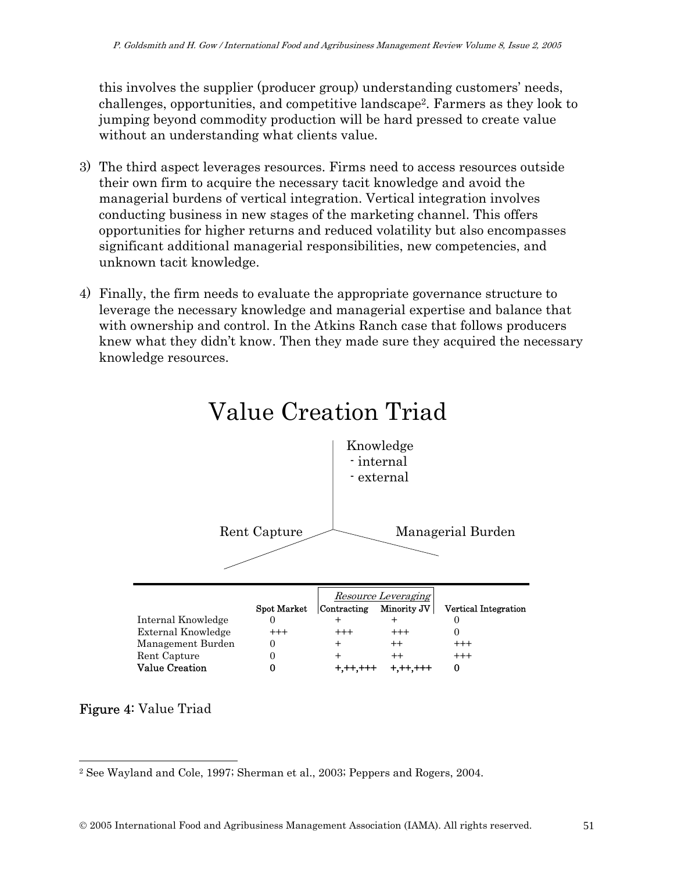this involves the supplier (producer group) understanding customers' needs, challenges, opportunities, and competitive landscape2. Farmers as they look to jumping beyond commodity production will be hard pressed to create value without an understanding what clients value.

- 3) The third aspect leverages resources. Firms need to access resources outside their own firm to acquire the necessary tacit knowledge and avoid the managerial burdens of vertical integration. Vertical integration involves conducting business in new stages of the marketing channel. This offers opportunities for higher returns and reduced volatility but also encompasses significant additional managerial responsibilities, new competencies, and unknown tacit knowledge.
- 4) Finally, the firm needs to evaluate the appropriate governance structure to leverage the necessary knowledge and managerial expertise and balance that with ownership and control. In the Atkins Ranch case that follows producers knew what they didn't know. Then they made sure they acquired the necessary knowledge resources.



# Value Creation Triad

#### Figure 4: Value Triad

 $\overline{a}$ 

<sup>2</sup> See Wayland and Cole, 1997; Sherman et al., 2003; Peppers and Rogers, 2004.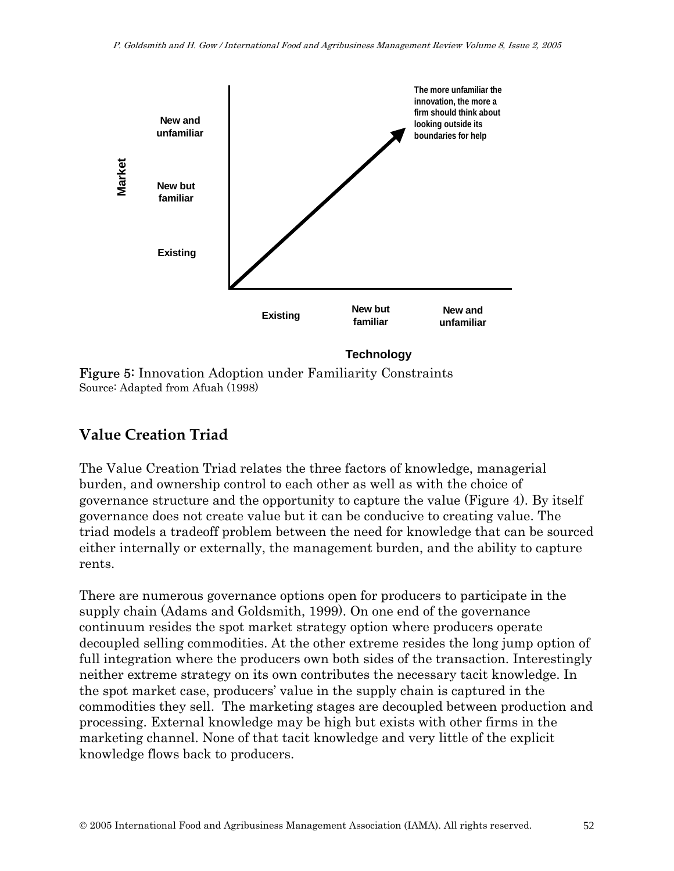

**Technology**

Figure 5: Innovation Adoption under Familiarity Constraints Source: Adapted from Afuah (1998)

### **Value Creation Triad**

The Value Creation Triad relates the three factors of knowledge, managerial burden, and ownership control to each other as well as with the choice of governance structure and the opportunity to capture the value (Figure 4). By itself governance does not create value but it can be conducive to creating value. The triad models a tradeoff problem between the need for knowledge that can be sourced either internally or externally, the management burden, and the ability to capture rents.

There are numerous governance options open for producers to participate in the supply chain (Adams and Goldsmith, 1999). On one end of the governance continuum resides the spot market strategy option where producers operate decoupled selling commodities. At the other extreme resides the long jump option of full integration where the producers own both sides of the transaction. Interestingly neither extreme strategy on its own contributes the necessary tacit knowledge. In the spot market case, producers' value in the supply chain is captured in the commodities they sell. The marketing stages are decoupled between production and processing. External knowledge may be high but exists with other firms in the marketing channel. None of that tacit knowledge and very little of the explicit knowledge flows back to producers.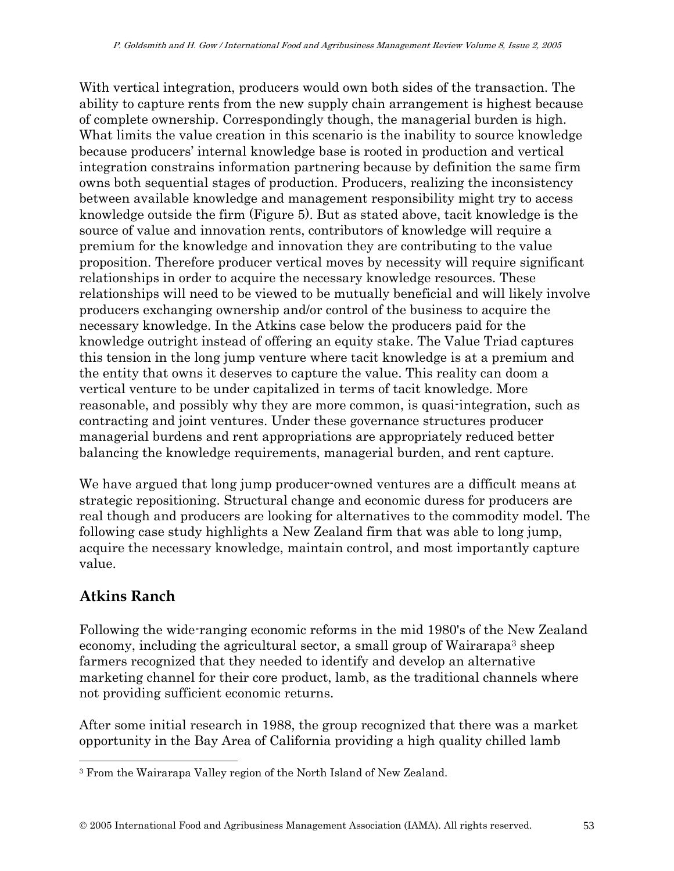With vertical integration, producers would own both sides of the transaction. The ability to capture rents from the new supply chain arrangement is highest because of complete ownership. Correspondingly though, the managerial burden is high. What limits the value creation in this scenario is the inability to source knowledge because producers' internal knowledge base is rooted in production and vertical integration constrains information partnering because by definition the same firm owns both sequential stages of production. Producers, realizing the inconsistency between available knowledge and management responsibility might try to access knowledge outside the firm (Figure 5). But as stated above, tacit knowledge is the source of value and innovation rents, contributors of knowledge will require a premium for the knowledge and innovation they are contributing to the value proposition. Therefore producer vertical moves by necessity will require significant relationships in order to acquire the necessary knowledge resources. These relationships will need to be viewed to be mutually beneficial and will likely involve producers exchanging ownership and/or control of the business to acquire the necessary knowledge. In the Atkins case below the producers paid for the knowledge outright instead of offering an equity stake. The Value Triad captures this tension in the long jump venture where tacit knowledge is at a premium and the entity that owns it deserves to capture the value. This reality can doom a vertical venture to be under capitalized in terms of tacit knowledge. More reasonable, and possibly why they are more common, is quasi-integration, such as contracting and joint ventures. Under these governance structures producer managerial burdens and rent appropriations are appropriately reduced better balancing the knowledge requirements, managerial burden, and rent capture.

We have argued that long jump producer-owned ventures are a difficult means at strategic repositioning. Structural change and economic duress for producers are real though and producers are looking for alternatives to the commodity model. The following case study highlights a New Zealand firm that was able to long jump, acquire the necessary knowledge, maintain control, and most importantly capture value.

### **Atkins Ranch**

 $\overline{a}$ 

Following the wide-ranging economic reforms in the mid 1980's of the New Zealand economy, including the agricultural sector, a small group of Wairarapa<sup>3</sup> sheep farmers recognized that they needed to identify and develop an alternative marketing channel for their core product, lamb, as the traditional channels where not providing sufficient economic returns.

After some initial research in 1988, the group recognized that there was a market opportunity in the Bay Area of California providing a high quality chilled lamb

<sup>3</sup> From the Wairarapa Valley region of the North Island of New Zealand.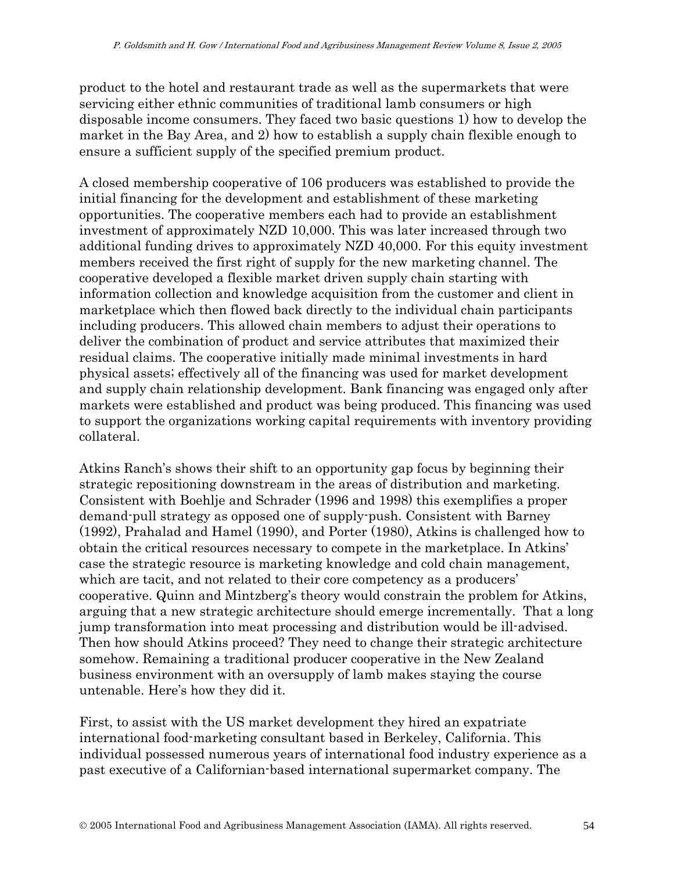product to the hotel and restaurant trade as well as the supermarkets that were servicing either ethnic communities of traditional lamb consumers or high disposable income consumers. They faced two basic questions 1) how to develop the market in the Bay Area, and 2) how to establish a supply chain flexible enough to ensure a sufficient supply of the specified premium product.

A closed membership cooperative of 106 producers was established to provide the initial financing for the development and establishment of these marketing opportunities. The cooperative members each had to provide an establishment investment of approximately NZD 10,000. This was later increased through two additional funding drives to approximately NZD 40,000. For this equity investment members received the first right of supply for the new marketing channel. The cooperative developed a flexible market driven supply chain starting with information collection and knowledge acquisition from the customer and client in marketplace which then flowed back directly to the individual chain participants including producers. This allowed chain members to adjust their operations to deliver the combination of product and service attributes that maximized their residual claims. The cooperative initially made minimal investments in hard physical assets; effectively all of the financing was used for market development and supply chain relationship development. Bank financing was engaged only after markets were established and product was being produced. This financing was used to support the organizations working capital requirements with inventory providing collateral.

Atkins Ranch's shows their shift to an opportunity gap focus by beginning their strategic repositioning downstream in the areas of distribution and marketing. Consistent with Boehlje and Schrader (1996 and 1998) this exemplifies a proper demand-pull strategy as opposed one of supply-push. Consistent with Barney (1992), Prahalad and Hamel (1990), and Porter (1980), Atkins is challenged how to obtain the critical resources necessary to compete in the marketplace. In Atkins' case the strategic resource is marketing knowledge and cold chain management, which are tacit, and not related to their core competency as a producers' cooperative. Quinn and Mintzberg's theory would constrain the problem for Atkins, arguing that a new strategic architecture should emerge incrementally. That a long jump transformation into meat processing and distribution would be ill-advised. Then how should Atkins proceed? They need to change their strategic architecture somehow. Remaining a traditional producer cooperative in the New Zealand business environment with an oversupply of lamb makes staying the course untenable. Here's how they did it.

First, to assist with the US market development they hired an expatriate international food-marketing consultant based in Berkeley, California. This individual possessed numerous years of international food industry experience as a past executive of a Californian-based international supermarket company. The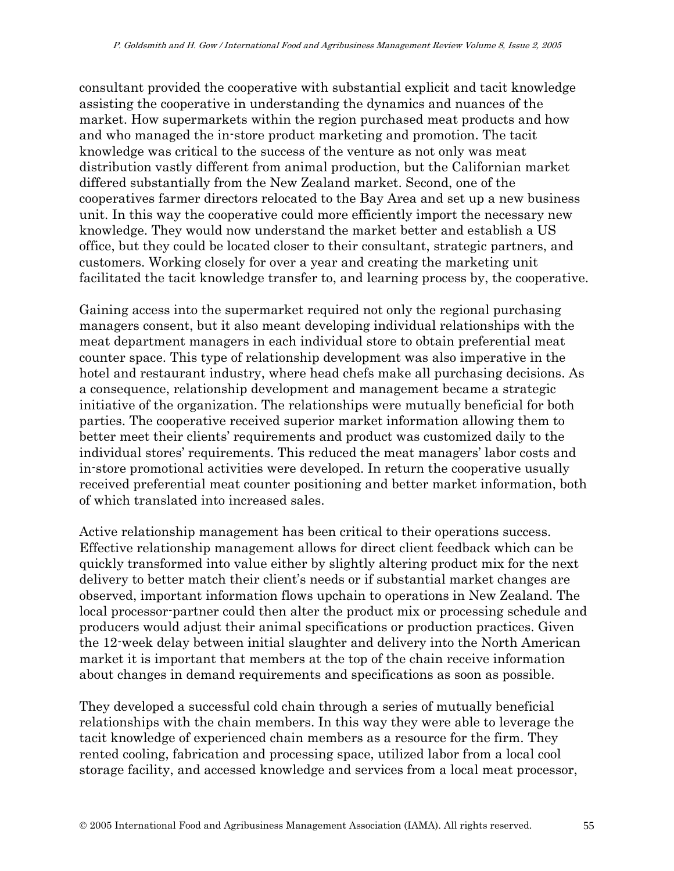consultant provided the cooperative with substantial explicit and tacit knowledge assisting the cooperative in understanding the dynamics and nuances of the market. How supermarkets within the region purchased meat products and how and who managed the in-store product marketing and promotion. The tacit knowledge was critical to the success of the venture as not only was meat distribution vastly different from animal production, but the Californian market differed substantially from the New Zealand market. Second, one of the cooperatives farmer directors relocated to the Bay Area and set up a new business unit. In this way the cooperative could more efficiently import the necessary new knowledge. They would now understand the market better and establish a US office, but they could be located closer to their consultant, strategic partners, and customers. Working closely for over a year and creating the marketing unit facilitated the tacit knowledge transfer to, and learning process by, the cooperative.

Gaining access into the supermarket required not only the regional purchasing managers consent, but it also meant developing individual relationships with the meat department managers in each individual store to obtain preferential meat counter space. This type of relationship development was also imperative in the hotel and restaurant industry, where head chefs make all purchasing decisions. As a consequence, relationship development and management became a strategic initiative of the organization. The relationships were mutually beneficial for both parties. The cooperative received superior market information allowing them to better meet their clients' requirements and product was customized daily to the individual stores' requirements. This reduced the meat managers' labor costs and in-store promotional activities were developed. In return the cooperative usually received preferential meat counter positioning and better market information, both of which translated into increased sales.

Active relationship management has been critical to their operations success. Effective relationship management allows for direct client feedback which can be quickly transformed into value either by slightly altering product mix for the next delivery to better match their client's needs or if substantial market changes are observed, important information flows upchain to operations in New Zealand. The local processor-partner could then alter the product mix or processing schedule and producers would adjust their animal specifications or production practices. Given the 12-week delay between initial slaughter and delivery into the North American market it is important that members at the top of the chain receive information about changes in demand requirements and specifications as soon as possible.

They developed a successful cold chain through a series of mutually beneficial relationships with the chain members. In this way they were able to leverage the tacit knowledge of experienced chain members as a resource for the firm. They rented cooling, fabrication and processing space, utilized labor from a local cool storage facility, and accessed knowledge and services from a local meat processor,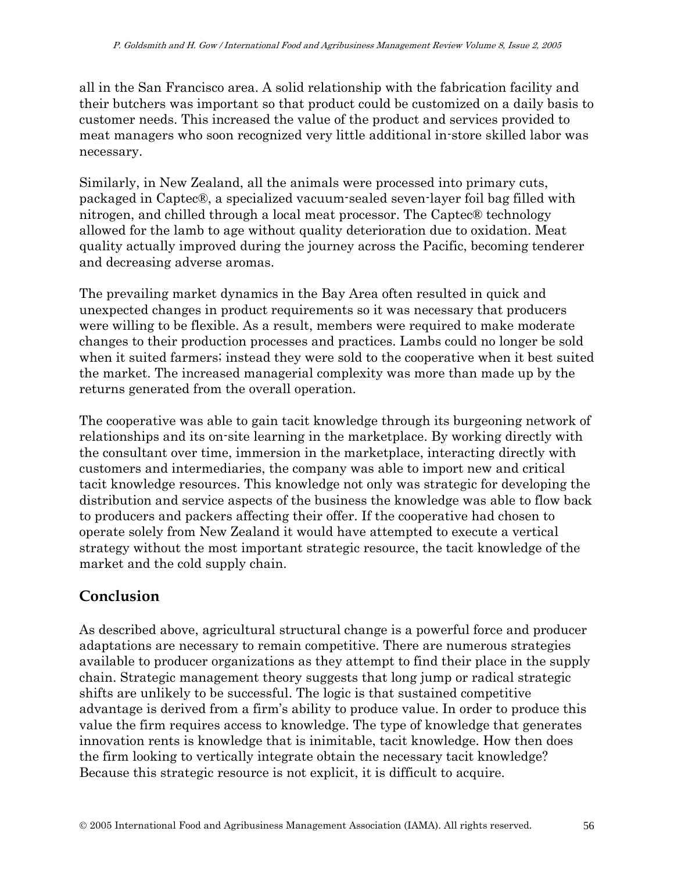all in the San Francisco area. A solid relationship with the fabrication facility and their butchers was important so that product could be customized on a daily basis to customer needs. This increased the value of the product and services provided to meat managers who soon recognized very little additional in-store skilled labor was necessary.

Similarly, in New Zealand, all the animals were processed into primary cuts, packaged in Captec®, a specialized vacuum-sealed seven-layer foil bag filled with nitrogen, and chilled through a local meat processor. The Captec® technology allowed for the lamb to age without quality deterioration due to oxidation. Meat quality actually improved during the journey across the Pacific, becoming tenderer and decreasing adverse aromas.

The prevailing market dynamics in the Bay Area often resulted in quick and unexpected changes in product requirements so it was necessary that producers were willing to be flexible. As a result, members were required to make moderate changes to their production processes and practices. Lambs could no longer be sold when it suited farmers; instead they were sold to the cooperative when it best suited the market. The increased managerial complexity was more than made up by the returns generated from the overall operation.

The cooperative was able to gain tacit knowledge through its burgeoning network of relationships and its on-site learning in the marketplace. By working directly with the consultant over time, immersion in the marketplace, interacting directly with customers and intermediaries, the company was able to import new and critical tacit knowledge resources. This knowledge not only was strategic for developing the distribution and service aspects of the business the knowledge was able to flow back to producers and packers affecting their offer. If the cooperative had chosen to operate solely from New Zealand it would have attempted to execute a vertical strategy without the most important strategic resource, the tacit knowledge of the market and the cold supply chain.

### **Conclusion**

As described above, agricultural structural change is a powerful force and producer adaptations are necessary to remain competitive. There are numerous strategies available to producer organizations as they attempt to find their place in the supply chain. Strategic management theory suggests that long jump or radical strategic shifts are unlikely to be successful. The logic is that sustained competitive advantage is derived from a firm's ability to produce value. In order to produce this value the firm requires access to knowledge. The type of knowledge that generates innovation rents is knowledge that is inimitable, tacit knowledge. How then does the firm looking to vertically integrate obtain the necessary tacit knowledge? Because this strategic resource is not explicit, it is difficult to acquire.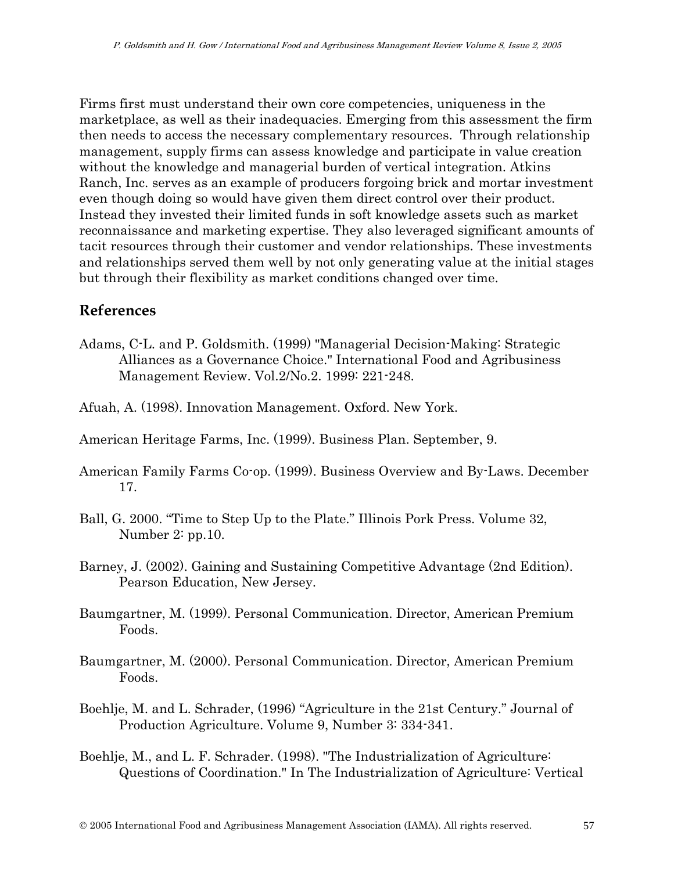Firms first must understand their own core competencies, uniqueness in the marketplace, as well as their inadequacies. Emerging from this assessment the firm then needs to access the necessary complementary resources. Through relationship management, supply firms can assess knowledge and participate in value creation without the knowledge and managerial burden of vertical integration. Atkins Ranch, Inc. serves as an example of producers forgoing brick and mortar investment even though doing so would have given them direct control over their product. Instead they invested their limited funds in soft knowledge assets such as market reconnaissance and marketing expertise. They also leveraged significant amounts of tacit resources through their customer and vendor relationships. These investments and relationships served them well by not only generating value at the initial stages but through their flexibility as market conditions changed over time.

### **References**

- Adams, C-L. and P. Goldsmith. (1999) "Managerial Decision-Making: Strategic Alliances as a Governance Choice." International Food and Agribusiness Management Review. Vol.2/No.2. 1999: 221-248.
- Afuah, A. (1998). Innovation Management. Oxford. New York.
- American Heritage Farms, Inc. (1999). Business Plan. September, 9.
- American Family Farms Co-op. (1999). Business Overview and By-Laws. December 17.
- Ball, G. 2000. "Time to Step Up to the Plate." Illinois Pork Press. Volume 32, Number 2: pp.10.
- Barney, J. (2002). Gaining and Sustaining Competitive Advantage (2nd Edition). Pearson Education, New Jersey.
- Baumgartner, M. (1999). Personal Communication. Director, American Premium Foods.
- Baumgartner, M. (2000). Personal Communication. Director, American Premium Foods.
- Boehlje, M. and L. Schrader, (1996) "Agriculture in the 21st Century." Journal of Production Agriculture. Volume 9, Number 3: 334-341.
- Boehlje, M., and L. F. Schrader. (1998). "The Industrialization of Agriculture: Questions of Coordination." In The Industrialization of Agriculture: Vertical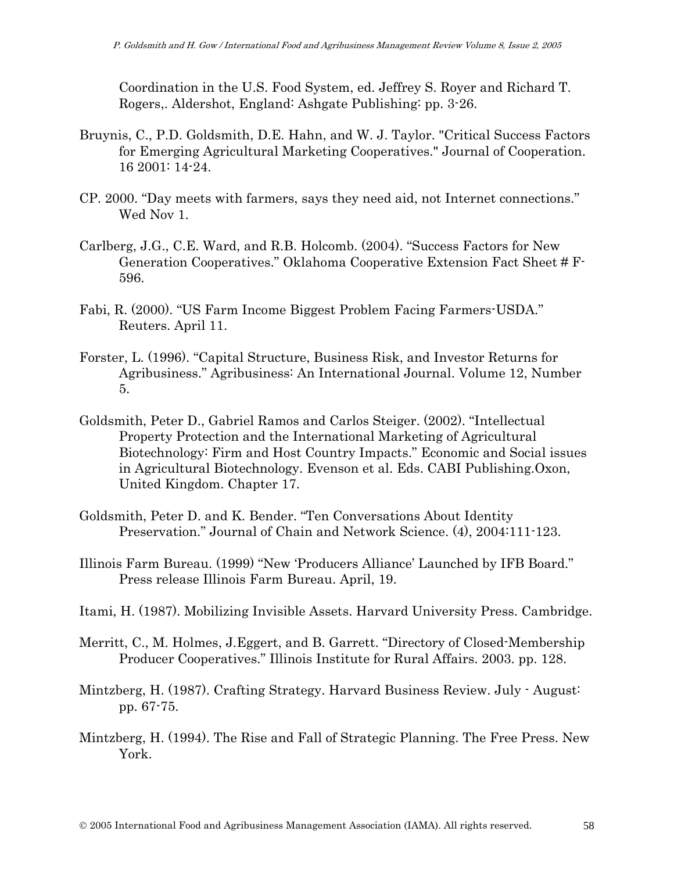Coordination in the U.S. Food System, ed. Jeffrey S. Royer and Richard T. Rogers,. Aldershot, England: Ashgate Publishing: pp. 3-26.

- Bruynis, C., P.D. Goldsmith, D.E. Hahn, and W. J. Taylor. "Critical Success Factors for Emerging Agricultural Marketing Cooperatives." Journal of Cooperation. 16 2001: 14-24.
- CP. 2000. "Day meets with farmers, says they need aid, not Internet connections." Wed Nov 1.
- Carlberg, J.G., C.E. Ward, and R.B. Holcomb. (2004). "Success Factors for New Generation Cooperatives." Oklahoma Cooperative Extension Fact Sheet # F-596.
- Fabi, R. (2000). "US Farm Income Biggest Problem Facing Farmers-USDA." Reuters. April 11.
- Forster, L. (1996). "Capital Structure, Business Risk, and Investor Returns for Agribusiness." Agribusiness: An International Journal. Volume 12, Number 5.
- Goldsmith, Peter D., Gabriel Ramos and Carlos Steiger. (2002). "Intellectual Property Protection and the International Marketing of Agricultural Biotechnology: Firm and Host Country Impacts." Economic and Social issues in Agricultural Biotechnology. Evenson et al. Eds. CABI Publishing.Oxon, United Kingdom. Chapter 17.
- Goldsmith, Peter D. and K. Bender. "Ten Conversations About Identity Preservation." Journal of Chain and Network Science. (4), 2004:111-123.
- Illinois Farm Bureau. (1999) "New 'Producers Alliance' Launched by IFB Board." Press release Illinois Farm Bureau. April, 19.
- Itami, H. (1987). Mobilizing Invisible Assets. Harvard University Press. Cambridge.
- Merritt, C., M. Holmes, J.Eggert, and B. Garrett. "Directory of Closed-Membership Producer Cooperatives." Illinois Institute for Rural Affairs. 2003. pp. 128.
- Mintzberg, H. (1987). Crafting Strategy. Harvard Business Review. July August: pp. 67-75.
- Mintzberg, H. (1994). The Rise and Fall of Strategic Planning. The Free Press. New York.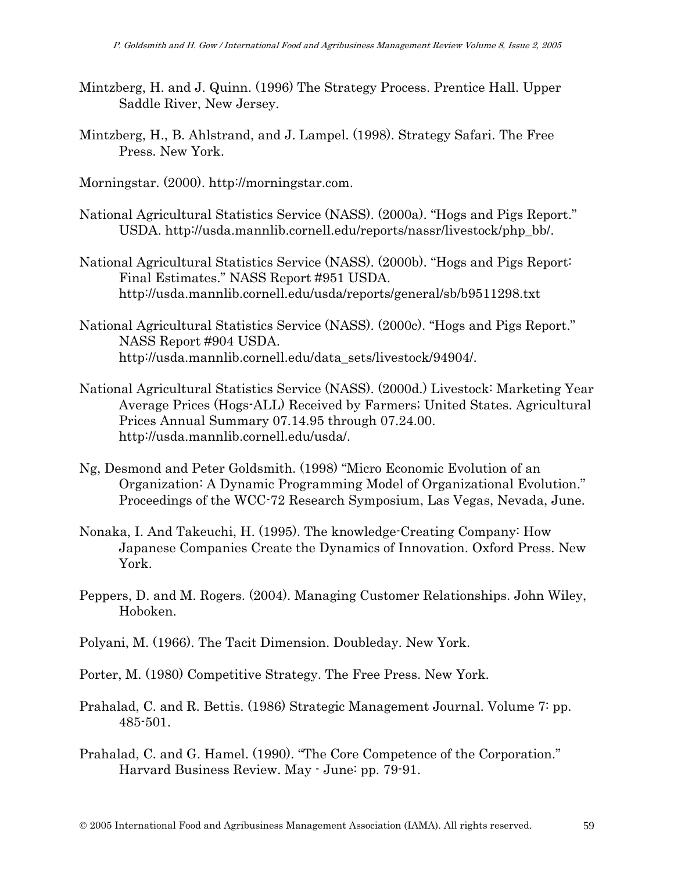- Mintzberg, H. and J. Quinn. (1996) The Strategy Process. Prentice Hall. Upper Saddle River, New Jersey.
- Mintzberg, H., B. Ahlstrand, and J. Lampel. (1998). Strategy Safari. The Free Press. New York.
- Morningstar. (2000). http://morningstar.com.
- National Agricultural Statistics Service (NASS). (2000a). "Hogs and Pigs Report." USDA. http://usda.mannlib.cornell.edu/reports/nassr/livestock/php\_bb/.
- National Agricultural Statistics Service (NASS). (2000b). "Hogs and Pigs Report: Final Estimates." NASS Report #951 USDA. http://usda.mannlib.cornell.edu/usda/reports/general/sb/b9511298.txt
- National Agricultural Statistics Service (NASS). (2000c). "Hogs and Pigs Report." NASS Report #904 USDA. http://usda.mannlib.cornell.edu/data\_sets/livestock/94904/.
- National Agricultural Statistics Service (NASS). (2000d.) Livestock: Marketing Year Average Prices (Hogs-ALL) Received by Farmers; United States. Agricultural Prices Annual Summary 07.14.95 through 07.24.00. http://usda.mannlib.cornell.edu/usda/.
- Ng, Desmond and Peter Goldsmith. (1998) "Micro Economic Evolution of an Organization: A Dynamic Programming Model of Organizational Evolution." Proceedings of the WCC-72 Research Symposium, Las Vegas, Nevada, June.
- Nonaka, I. And Takeuchi, H. (1995). The knowledge-Creating Company: How Japanese Companies Create the Dynamics of Innovation. Oxford Press. New York.
- Peppers, D. and M. Rogers. (2004). Managing Customer Relationships. John Wiley, Hoboken.
- Polyani, M. (1966). The Tacit Dimension. Doubleday. New York.
- Porter, M. (1980) Competitive Strategy. The Free Press. New York.
- Prahalad, C. and R. Bettis. (1986) Strategic Management Journal. Volume 7: pp. 485-501.
- Prahalad, C. and G. Hamel. (1990). "The Core Competence of the Corporation." Harvard Business Review. May - June: pp. 79-91.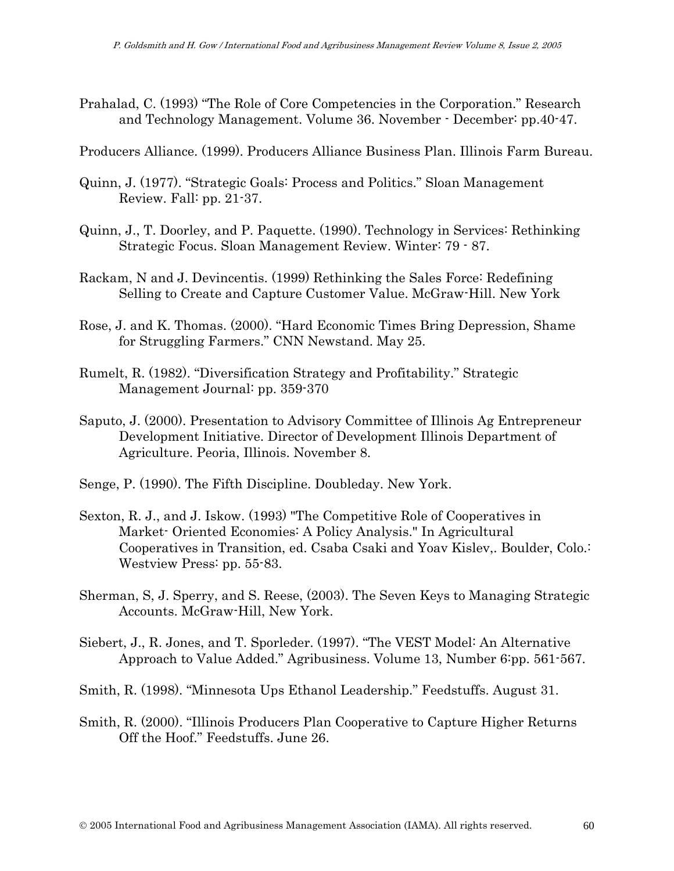Prahalad, C. (1993) "The Role of Core Competencies in the Corporation." Research and Technology Management. Volume 36. November - December: pp.40-47.

Producers Alliance. (1999). Producers Alliance Business Plan. Illinois Farm Bureau.

- Quinn, J. (1977). "Strategic Goals: Process and Politics." Sloan Management Review. Fall: pp. 21-37.
- Quinn, J., T. Doorley, and P. Paquette. (1990). Technology in Services: Rethinking Strategic Focus. Sloan Management Review. Winter: 79 - 87.
- Rackam, N and J. Devincentis. (1999) Rethinking the Sales Force: Redefining Selling to Create and Capture Customer Value. McGraw-Hill. New York
- Rose, J. and K. Thomas. (2000). "Hard Economic Times Bring Depression, Shame for Struggling Farmers." CNN Newstand. May 25.
- Rumelt, R. (1982). "Diversification Strategy and Profitability." Strategic Management Journal: pp. 359-370
- Saputo, J. (2000). Presentation to Advisory Committee of Illinois Ag Entrepreneur Development Initiative. Director of Development Illinois Department of Agriculture. Peoria, Illinois. November 8.
- Senge, P. (1990). The Fifth Discipline. Doubleday. New York.
- Sexton, R. J., and J. Iskow. (1993) "The Competitive Role of Cooperatives in Market- Oriented Economies: A Policy Analysis." In Agricultural Cooperatives in Transition, ed. Csaba Csaki and Yoav Kislev,. Boulder, Colo.: Westview Press: pp. 55-83.
- Sherman, S, J. Sperry, and S. Reese, (2003). The Seven Keys to Managing Strategic Accounts. McGraw-Hill, New York.
- Siebert, J., R. Jones, and T. Sporleder. (1997). "The VEST Model: An Alternative Approach to Value Added." Agribusiness. Volume 13, Number 6:pp. 561-567.
- Smith, R. (1998). "Minnesota Ups Ethanol Leadership." Feedstuffs. August 31.
- Smith, R. (2000). "Illinois Producers Plan Cooperative to Capture Higher Returns Off the Hoof." Feedstuffs. June 26.